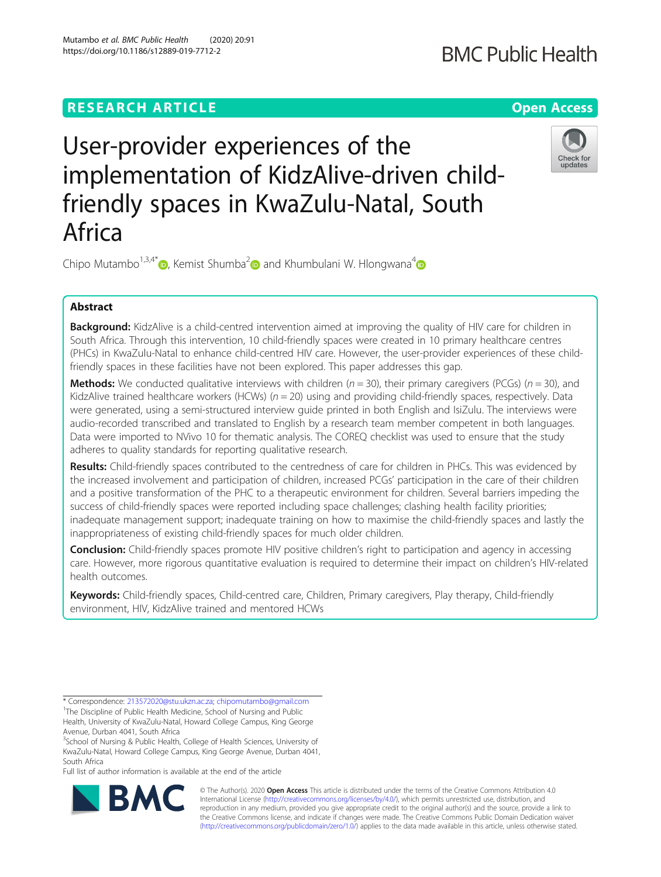Mutambo et al. BMC Public Health (2020) 20:91 https://doi.org/10.1186/s12889-019-7712-2

# User-provider experiences of the implementation of KidzAlive-driven childfriendly spaces in KwaZulu-Natal, South Africa



Chipo Mutambo<sup>1,3,4\*</sup>  $\bullet$ , Kemist Shumba<sup>2</sup> and Khumbulani W. Hlongwana<sup>4</sup>

# Abstract

**Background:** KidzAlive is a child-centred intervention aimed at improving the quality of HIV care for children in South Africa. Through this intervention, 10 child-friendly spaces were created in 10 primary healthcare centres (PHCs) in KwaZulu-Natal to enhance child-centred HIV care. However, the user-provider experiences of these childfriendly spaces in these facilities have not been explored. This paper addresses this gap.

**Methods:** We conducted qualitative interviews with children ( $n = 30$ ), their primary caregivers (PCGs) ( $n = 30$ ), and KidzAlive trained healthcare workers (HCWs) ( $n = 20$ ) using and providing child-friendly spaces, respectively. Data were generated, using a semi-structured interview guide printed in both English and IsiZulu. The interviews were audio-recorded transcribed and translated to English by a research team member competent in both languages. Data were imported to NVivo 10 for thematic analysis. The COREQ checklist was used to ensure that the study adheres to quality standards for reporting qualitative research.

Results: Child-friendly spaces contributed to the centredness of care for children in PHCs. This was evidenced by the increased involvement and participation of children, increased PCGs' participation in the care of their children and a positive transformation of the PHC to a therapeutic environment for children. Several barriers impeding the success of child-friendly spaces were reported including space challenges; clashing health facility priorities; inadequate management support; inadequate training on how to maximise the child-friendly spaces and lastly the inappropriateness of existing child-friendly spaces for much older children.

**Conclusion:** Child-friendly spaces promote HIV positive children's right to participation and agency in accessing care. However, more rigorous quantitative evaluation is required to determine their impact on children's HIV-related health outcomes.

Keywords: Child-friendly spaces, Child-centred care, Children, Primary caregivers, Play therapy, Child-friendly environment, HIV, KidzAlive trained and mentored HCWs

<sup>1</sup>The Discipline of Public Health Medicine, School of Nursing and Public Health, University of KwaZulu-Natal, Howard College Campus, King George Avenue, Durban 4041, South Africa

Full list of author information is available at the end of the article



© The Author(s). 2020 **Open Access** This article is distributed under the terms of the Creative Commons Attribution 4.0 International License [\(http://creativecommons.org/licenses/by/4.0/](http://creativecommons.org/licenses/by/4.0/)), which permits unrestricted use, distribution, and reproduction in any medium, provided you give appropriate credit to the original author(s) and the source, provide a link to the Creative Commons license, and indicate if changes were made. The Creative Commons Public Domain Dedication waiver [\(http://creativecommons.org/publicdomain/zero/1.0/](http://creativecommons.org/publicdomain/zero/1.0/)) applies to the data made available in this article, unless otherwise stated.

<sup>\*</sup> Correspondence: [213572020@stu.ukzn.ac.za;](mailto:213572020@stu.ukzn.ac.za) [chipomutambo@gmail.com](mailto:chipomutambo@gmail.com) <sup>1</sup>

<sup>&</sup>lt;sup>3</sup>School of Nursing & Public Health, College of Health Sciences, University of KwaZulu-Natal, Howard College Campus, King George Avenue, Durban 4041, South Africa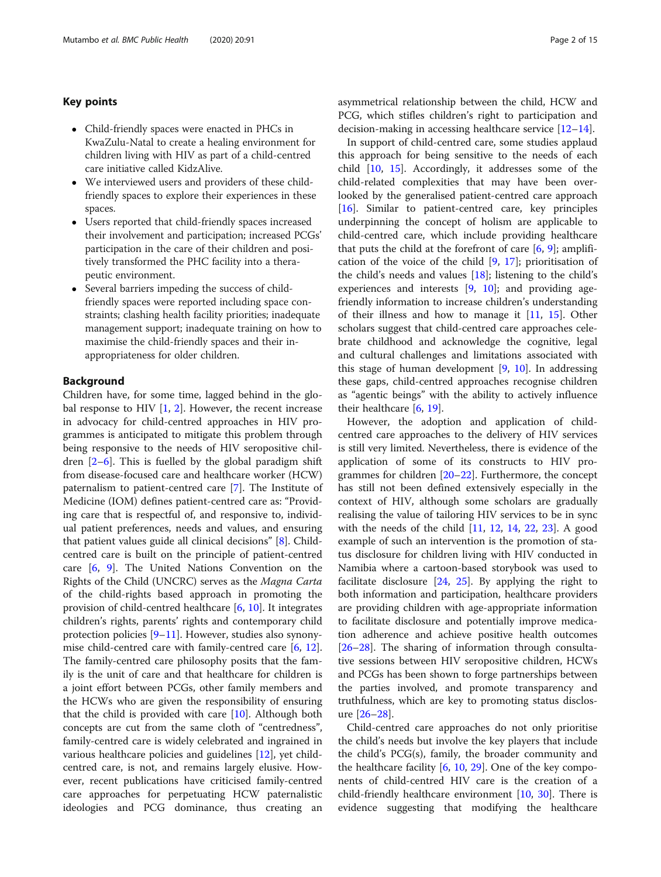# Key points

- Child-friendly spaces were enacted in PHCs in KwaZulu-Natal to create a healing environment for children living with HIV as part of a child-centred care initiative called KidzAlive.
- We interviewed users and providers of these childfriendly spaces to explore their experiences in these spaces.
- Users reported that child-friendly spaces increased their involvement and participation; increased PCGs' participation in the care of their children and positively transformed the PHC facility into a therapeutic environment.
- Several barriers impeding the success of childfriendly spaces were reported including space constraints; clashing health facility priorities; inadequate management support; inadequate training on how to maximise the child-friendly spaces and their inappropriateness for older children.

# Background

Children have, for some time, lagged behind in the global response to HIV  $[1, 2]$  $[1, 2]$  $[1, 2]$  $[1, 2]$  $[1, 2]$ . However, the recent increase in advocacy for child-centred approaches in HIV programmes is anticipated to mitigate this problem through being responsive to the needs of HIV seropositive children [[2](#page-13-0)–[6](#page-13-0)]. This is fuelled by the global paradigm shift from disease-focused care and healthcare worker (HCW) paternalism to patient-centred care [[7](#page-13-0)]. The Institute of Medicine (IOM) defines patient-centred care as: "Providing care that is respectful of, and responsive to, individual patient preferences, needs and values, and ensuring that patient values guide all clinical decisions" [\[8](#page-13-0)]. Childcentred care is built on the principle of patient-centred care [[6,](#page-13-0) [9](#page-13-0)]. The United Nations Convention on the Rights of the Child (UNCRC) serves as the Magna Carta of the child-rights based approach in promoting the provision of child-centred healthcare [[6,](#page-13-0) [10](#page-13-0)]. It integrates children's rights, parents' rights and contemporary child protection policies [\[9](#page-13-0)–[11](#page-13-0)]. However, studies also synonymise child-centred care with family-centred care [[6,](#page-13-0) [12](#page-13-0)]. The family-centred care philosophy posits that the family is the unit of care and that healthcare for children is a joint effort between PCGs, other family members and the HCWs who are given the responsibility of ensuring that the child is provided with care  $[10]$ . Although both concepts are cut from the same cloth of "centredness", family-centred care is widely celebrated and ingrained in various healthcare policies and guidelines [[12](#page-13-0)], yet childcentred care, is not, and remains largely elusive. However, recent publications have criticised family-centred care approaches for perpetuating HCW paternalistic ideologies and PCG dominance, thus creating an

asymmetrical relationship between the child, HCW and PCG, which stifles children's right to participation and decision-making in accessing healthcare service [\[12](#page-13-0)–[14\]](#page-13-0).

In support of child-centred care, some studies applaud this approach for being sensitive to the needs of each child [[10](#page-13-0), [15](#page-13-0)]. Accordingly, it addresses some of the child-related complexities that may have been overlooked by the generalised patient-centred care approach [[16\]](#page-13-0). Similar to patient-centred care, key principles underpinning the concept of holism are applicable to child-centred care, which include providing healthcare that puts the child at the forefront of care  $[6, 9]$  $[6, 9]$  $[6, 9]$  $[6, 9]$ ; amplification of the voice of the child  $[9, 17]$  $[9, 17]$  $[9, 17]$  $[9, 17]$  $[9, 17]$ ; prioritisation of the child's needs and values  $[18]$  $[18]$  $[18]$ ; listening to the child's experiences and interests [\[9](#page-13-0), [10\]](#page-13-0); and providing agefriendly information to increase children's understanding of their illness and how to manage it  $[11, 15]$  $[11, 15]$  $[11, 15]$  $[11, 15]$ . Other scholars suggest that child-centred care approaches celebrate childhood and acknowledge the cognitive, legal and cultural challenges and limitations associated with this stage of human development [\[9](#page-13-0), [10](#page-13-0)]. In addressing these gaps, child-centred approaches recognise children as "agentic beings" with the ability to actively influence their healthcare  $[6, 19]$  $[6, 19]$  $[6, 19]$  $[6, 19]$ .

However, the adoption and application of childcentred care approaches to the delivery of HIV services is still very limited. Nevertheless, there is evidence of the application of some of its constructs to HIV programmes for children [\[20](#page-13-0)–[22](#page-13-0)]. Furthermore, the concept has still not been defined extensively especially in the context of HIV, although some scholars are gradually realising the value of tailoring HIV services to be in sync with the needs of the child [[11](#page-13-0), [12](#page-13-0), [14,](#page-13-0) [22,](#page-13-0) [23\]](#page-13-0). A good example of such an intervention is the promotion of status disclosure for children living with HIV conducted in Namibia where a cartoon-based storybook was used to facilitate disclosure [[24,](#page-13-0) [25](#page-13-0)]. By applying the right to both information and participation, healthcare providers are providing children with age-appropriate information to facilitate disclosure and potentially improve medication adherence and achieve positive health outcomes [[26](#page-13-0)–[28](#page-13-0)]. The sharing of information through consultative sessions between HIV seropositive children, HCWs and PCGs has been shown to forge partnerships between the parties involved, and promote transparency and truthfulness, which are key to promoting status disclosure [\[26](#page-13-0)–[28\]](#page-13-0).

Child-centred care approaches do not only prioritise the child's needs but involve the key players that include the child's PCG(s), family, the broader community and the healthcare facility [[6,](#page-13-0) [10](#page-13-0), [29](#page-13-0)]. One of the key components of child-centred HIV care is the creation of a child-friendly healthcare environment  $[10, 30]$  $[10, 30]$  $[10, 30]$  $[10, 30]$ . There is evidence suggesting that modifying the healthcare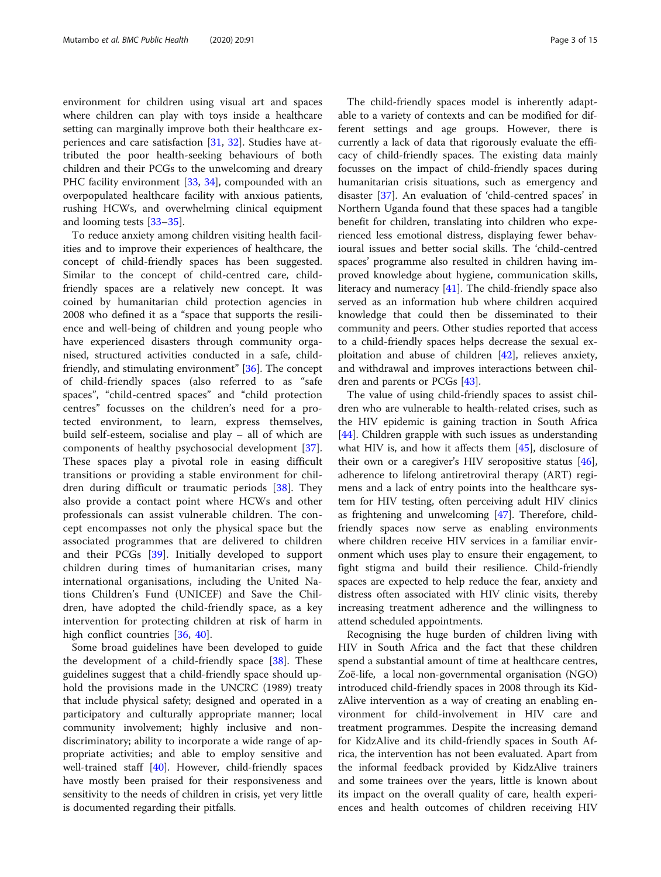environment for children using visual art and spaces where children can play with toys inside a healthcare setting can marginally improve both their healthcare experiences and care satisfaction [[31,](#page-13-0) [32](#page-13-0)]. Studies have attributed the poor health-seeking behaviours of both children and their PCGs to the unwelcoming and dreary PHC facility environment [[33,](#page-13-0) [34\]](#page-13-0), compounded with an overpopulated healthcare facility with anxious patients, rushing HCWs, and overwhelming clinical equipment and looming tests [[33](#page-13-0)–[35](#page-13-0)].

To reduce anxiety among children visiting health facilities and to improve their experiences of healthcare, the concept of child-friendly spaces has been suggested. Similar to the concept of child-centred care, childfriendly spaces are a relatively new concept. It was coined by humanitarian child protection agencies in 2008 who defined it as a "space that supports the resilience and well-being of children and young people who have experienced disasters through community organised, structured activities conducted in a safe, childfriendly, and stimulating environment" [\[36](#page-13-0)]. The concept of child-friendly spaces (also referred to as "safe spaces", "child-centred spaces" and "child protection centres" focusses on the children's need for a protected environment, to learn, express themselves, build self-esteem, socialise and play – all of which are components of healthy psychosocial development [\[37](#page-13-0)]. These spaces play a pivotal role in easing difficult transitions or providing a stable environment for children during difficult or traumatic periods [[38](#page-13-0)]. They also provide a contact point where HCWs and other professionals can assist vulnerable children. The concept encompasses not only the physical space but the associated programmes that are delivered to children and their PCGs [[39\]](#page-13-0). Initially developed to support children during times of humanitarian crises, many international organisations, including the United Nations Children's Fund (UNICEF) and Save the Children, have adopted the child-friendly space, as a key intervention for protecting children at risk of harm in high conflict countries [[36,](#page-13-0) [40\]](#page-13-0).

Some broad guidelines have been developed to guide the development of a child-friendly space [[38\]](#page-13-0). These guidelines suggest that a child-friendly space should uphold the provisions made in the UNCRC (1989) treaty that include physical safety; designed and operated in a participatory and culturally appropriate manner; local community involvement; highly inclusive and nondiscriminatory; ability to incorporate a wide range of appropriate activities; and able to employ sensitive and well-trained staff  $[40]$  $[40]$ . However, child-friendly spaces have mostly been praised for their responsiveness and sensitivity to the needs of children in crisis, yet very little is documented regarding their pitfalls.

The child-friendly spaces model is inherently adaptable to a variety of contexts and can be modified for different settings and age groups. However, there is currently a lack of data that rigorously evaluate the efficacy of child-friendly spaces. The existing data mainly focusses on the impact of child-friendly spaces during humanitarian crisis situations, such as emergency and disaster [\[37](#page-13-0)]. An evaluation of 'child-centred spaces' in Northern Uganda found that these spaces had a tangible benefit for children, translating into children who experienced less emotional distress, displaying fewer behavioural issues and better social skills. The 'child-centred spaces' programme also resulted in children having improved knowledge about hygiene, communication skills, literacy and numeracy [[41\]](#page-13-0). The child-friendly space also served as an information hub where children acquired knowledge that could then be disseminated to their community and peers. Other studies reported that access to a child-friendly spaces helps decrease the sexual exploitation and abuse of children  $[42]$  $[42]$ , relieves anxiety, and withdrawal and improves interactions between children and parents or PCGs [\[43](#page-13-0)].

The value of using child-friendly spaces to assist children who are vulnerable to health-related crises, such as the HIV epidemic is gaining traction in South Africa [[44\]](#page-13-0). Children grapple with such issues as understanding what HIV is, and how it affects them [\[45](#page-13-0)], disclosure of their own or a caregiver's HIV seropositive status [\[46](#page-13-0)], adherence to lifelong antiretroviral therapy (ART) regimens and a lack of entry points into the healthcare system for HIV testing, often perceiving adult HIV clinics as frightening and unwelcoming [\[47](#page-13-0)]. Therefore, childfriendly spaces now serve as enabling environments where children receive HIV services in a familiar environment which uses play to ensure their engagement, to fight stigma and build their resilience. Child-friendly spaces are expected to help reduce the fear, anxiety and distress often associated with HIV clinic visits, thereby increasing treatment adherence and the willingness to attend scheduled appointments.

Recognising the huge burden of children living with HIV in South Africa and the fact that these children spend a substantial amount of time at healthcare centres, Zoë-life, a local non-governmental organisation (NGO) introduced child-friendly spaces in 2008 through its KidzAlive intervention as a way of creating an enabling environment for child-involvement in HIV care and treatment programmes. Despite the increasing demand for KidzAlive and its child-friendly spaces in South Africa, the intervention has not been evaluated. Apart from the informal feedback provided by KidzAlive trainers and some trainees over the years, little is known about its impact on the overall quality of care, health experiences and health outcomes of children receiving HIV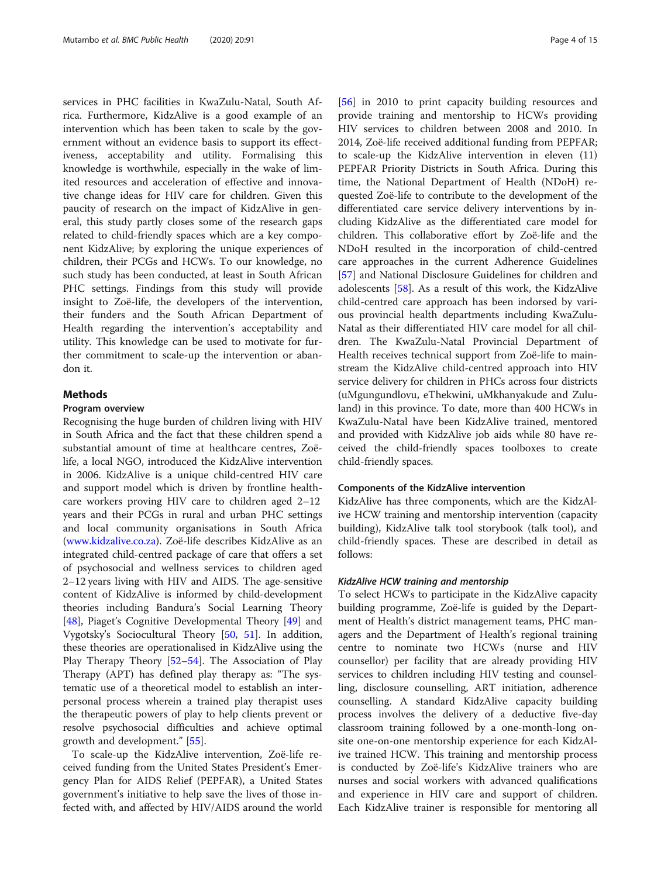services in PHC facilities in KwaZulu-Natal, South Africa. Furthermore, KidzAlive is a good example of an intervention which has been taken to scale by the government without an evidence basis to support its effectiveness, acceptability and utility. Formalising this knowledge is worthwhile, especially in the wake of limited resources and acceleration of effective and innovative change ideas for HIV care for children. Given this paucity of research on the impact of KidzAlive in general, this study partly closes some of the research gaps related to child-friendly spaces which are a key component KidzAlive; by exploring the unique experiences of children, their PCGs and HCWs. To our knowledge, no such study has been conducted, at least in South African PHC settings. Findings from this study will provide insight to Zoë-life, the developers of the intervention, their funders and the South African Department of Health regarding the intervention's acceptability and utility. This knowledge can be used to motivate for further commitment to scale-up the intervention or abandon it.

# Methods

#### Program overview

Recognising the huge burden of children living with HIV in South Africa and the fact that these children spend a substantial amount of time at healthcare centres, Zoëlife, a local NGO, introduced the KidzAlive intervention in 2006. KidzAlive is a unique child-centred HIV care and support model which is driven by frontline healthcare workers proving HIV care to children aged 2–12 years and their PCGs in rural and urban PHC settings and local community organisations in South Africa ([www.kidzalive.co.za](http://www.kidzalive.co.za)). Zoë-life describes KidzAlive as an integrated child-centred package of care that offers a set of psychosocial and wellness services to children aged 2–12 years living with HIV and AIDS. The age-sensitive content of KidzAlive is informed by child-development theories including Bandura's Social Learning Theory [[48\]](#page-14-0), Piaget's Cognitive Developmental Theory [[49](#page-14-0)] and Vygotsky's Sociocultural Theory [\[50](#page-14-0), [51\]](#page-14-0). In addition, these theories are operationalised in KidzAlive using the Play Therapy Theory [[52](#page-14-0)–[54](#page-14-0)]. The Association of Play Therapy (APT) has defined play therapy as: "The systematic use of a theoretical model to establish an interpersonal process wherein a trained play therapist uses the therapeutic powers of play to help clients prevent or resolve psychosocial difficulties and achieve optimal growth and development." [[55\]](#page-14-0).

To scale-up the KidzAlive intervention, Zoë-life received funding from the United States President's Emergency Plan for AIDS Relief (PEPFAR), a United States government's initiative to help save the lives of those infected with, and affected by HIV/AIDS around the world [[56\]](#page-14-0) in 2010 to print capacity building resources and provide training and mentorship to HCWs providing HIV services to children between 2008 and 2010. In 2014, Zoë-life received additional funding from PEPFAR; to scale-up the KidzAlive intervention in eleven (11) PEPFAR Priority Districts in South Africa. During this time, the National Department of Health (NDoH) requested Zoë-life to contribute to the development of the differentiated care service delivery interventions by including KidzAlive as the differentiated care model for children. This collaborative effort by Zoë-life and the NDoH resulted in the incorporation of child-centred care approaches in the current Adherence Guidelines [[57\]](#page-14-0) and National Disclosure Guidelines for children and adolescents [\[58\]](#page-14-0). As a result of this work, the KidzAlive child-centred care approach has been indorsed by various provincial health departments including KwaZulu-Natal as their differentiated HIV care model for all children. The KwaZulu-Natal Provincial Department of Health receives technical support from Zoë-life to mainstream the KidzAlive child-centred approach into HIV service delivery for children in PHCs across four districts (uMgungundlovu, eThekwini, uMkhanyakude and Zululand) in this province. To date, more than 400 HCWs in KwaZulu-Natal have been KidzAlive trained, mentored and provided with KidzAlive job aids while 80 have received the child-friendly spaces toolboxes to create child-friendly spaces.

#### Components of the KidzAlive intervention

KidzAlive has three components, which are the KidzAlive HCW training and mentorship intervention (capacity building), KidzAlive talk tool storybook (talk tool), and child-friendly spaces. These are described in detail as follows:

#### KidzAlive HCW training and mentorship

To select HCWs to participate in the KidzAlive capacity building programme, Zoë-life is guided by the Department of Health's district management teams, PHC managers and the Department of Health's regional training centre to nominate two HCWs (nurse and HIV counsellor) per facility that are already providing HIV services to children including HIV testing and counselling, disclosure counselling, ART initiation, adherence counselling. A standard KidzAlive capacity building process involves the delivery of a deductive five-day classroom training followed by a one-month-long onsite one-on-one mentorship experience for each KidzAlive trained HCW. This training and mentorship process is conducted by Zoë-life's KidzAlive trainers who are nurses and social workers with advanced qualifications and experience in HIV care and support of children. Each KidzAlive trainer is responsible for mentoring all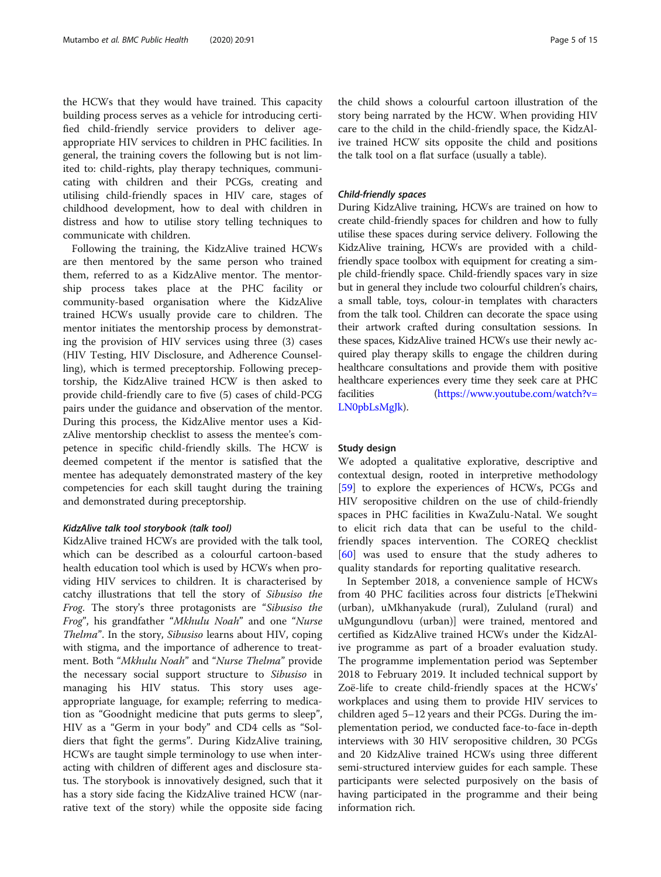the HCWs that they would have trained. This capacity building process serves as a vehicle for introducing certified child-friendly service providers to deliver ageappropriate HIV services to children in PHC facilities. In general, the training covers the following but is not limited to: child-rights, play therapy techniques, communicating with children and their PCGs, creating and utilising child-friendly spaces in HIV care, stages of childhood development, how to deal with children in distress and how to utilise story telling techniques to communicate with children.

Following the training, the KidzAlive trained HCWs are then mentored by the same person who trained them, referred to as a KidzAlive mentor. The mentorship process takes place at the PHC facility or community-based organisation where the KidzAlive trained HCWs usually provide care to children. The mentor initiates the mentorship process by demonstrating the provision of HIV services using three (3) cases (HIV Testing, HIV Disclosure, and Adherence Counselling), which is termed preceptorship. Following preceptorship, the KidzAlive trained HCW is then asked to provide child-friendly care to five (5) cases of child-PCG pairs under the guidance and observation of the mentor. During this process, the KidzAlive mentor uses a KidzAlive mentorship checklist to assess the mentee's competence in specific child-friendly skills. The HCW is deemed competent if the mentor is satisfied that the mentee has adequately demonstrated mastery of the key competencies for each skill taught during the training and demonstrated during preceptorship.

#### KidzAlive talk tool storybook (talk tool)

KidzAlive trained HCWs are provided with the talk tool, which can be described as a colourful cartoon-based health education tool which is used by HCWs when providing HIV services to children. It is characterised by catchy illustrations that tell the story of Sibusiso the Frog. The story's three protagonists are "Sibusiso the Frog", his grandfather "Mkhulu Noah" and one "Nurse Thelma". In the story, Sibusiso learns about HIV, coping with stigma, and the importance of adherence to treatment. Both "Mkhulu Noah" and "Nurse Thelma" provide the necessary social support structure to Sibusiso in managing his HIV status. This story uses ageappropriate language, for example; referring to medication as "Goodnight medicine that puts germs to sleep", HIV as a "Germ in your body" and CD4 cells as "Soldiers that fight the germs". During KidzAlive training, HCWs are taught simple terminology to use when interacting with children of different ages and disclosure status. The storybook is innovatively designed, such that it has a story side facing the KidzAlive trained HCW (narrative text of the story) while the opposite side facing

the child shows a colourful cartoon illustration of the story being narrated by the HCW. When providing HIV care to the child in the child-friendly space, the KidzAlive trained HCW sits opposite the child and positions the talk tool on a flat surface (usually a table).

#### Child-friendly spaces

During KidzAlive training, HCWs are trained on how to create child-friendly spaces for children and how to fully utilise these spaces during service delivery. Following the KidzAlive training, HCWs are provided with a childfriendly space toolbox with equipment for creating a simple child-friendly space. Child-friendly spaces vary in size but in general they include two colourful children's chairs, a small table, toys, colour-in templates with characters from the talk tool. Children can decorate the space using their artwork crafted during consultation sessions. In these spaces, KidzAlive trained HCWs use their newly acquired play therapy skills to engage the children during healthcare consultations and provide them with positive healthcare experiences every time they seek care at PHC facilities [\(https://www.youtube.com/watch?v=](https://www.youtube.com/watch?v=LN0pbLsMgJk) [LN0pbLsMgJk](https://www.youtube.com/watch?v=LN0pbLsMgJk)).

#### Study design

We adopted a qualitative explorative, descriptive and contextual design, rooted in interpretive methodology [[59\]](#page-14-0) to explore the experiences of HCWs, PCGs and HIV seropositive children on the use of child-friendly spaces in PHC facilities in KwaZulu-Natal. We sought to elicit rich data that can be useful to the childfriendly spaces intervention. The COREQ checklist [[60\]](#page-14-0) was used to ensure that the study adheres to quality standards for reporting qualitative research.

In September 2018, a convenience sample of HCWs from 40 PHC facilities across four districts [eThekwini (urban), uMkhanyakude (rural), Zululand (rural) and uMgungundlovu (urban)] were trained, mentored and certified as KidzAlive trained HCWs under the KidzAlive programme as part of a broader evaluation study. The programme implementation period was September 2018 to February 2019. It included technical support by Zoë-life to create child-friendly spaces at the HCWs' workplaces and using them to provide HIV services to children aged 5–12 years and their PCGs. During the implementation period, we conducted face-to-face in-depth interviews with 30 HIV seropositive children, 30 PCGs and 20 KidzAlive trained HCWs using three different semi-structured interview guides for each sample. These participants were selected purposively on the basis of having participated in the programme and their being information rich.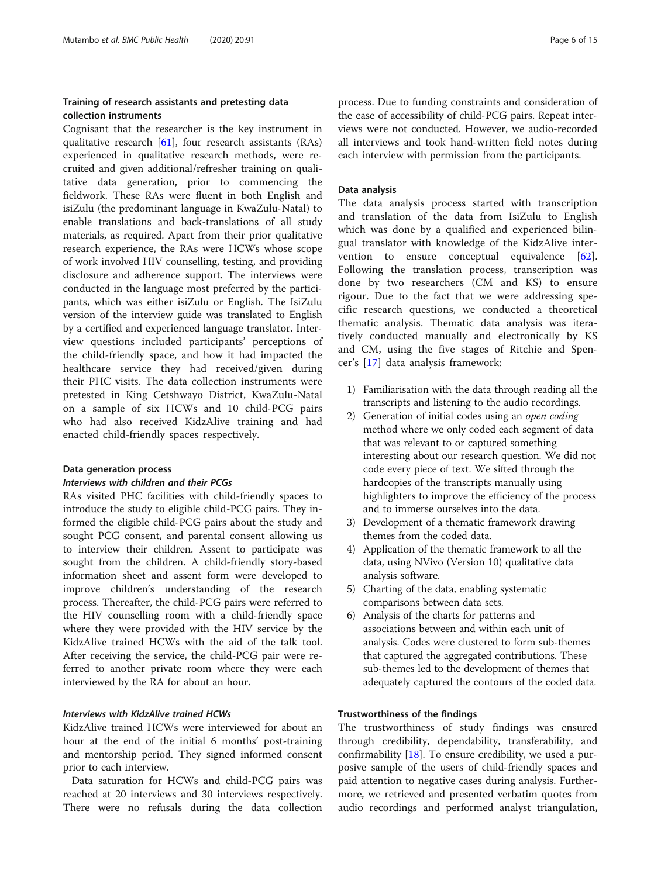# Training of research assistants and pretesting data collection instruments

Cognisant that the researcher is the key instrument in qualitative research  $[61]$ , four research assistants (RAs) experienced in qualitative research methods, were recruited and given additional/refresher training on qualitative data generation, prior to commencing the fieldwork. These RAs were fluent in both English and isiZulu (the predominant language in KwaZulu-Natal) to enable translations and back-translations of all study materials, as required. Apart from their prior qualitative research experience, the RAs were HCWs whose scope of work involved HIV counselling, testing, and providing disclosure and adherence support. The interviews were conducted in the language most preferred by the participants, which was either isiZulu or English. The IsiZulu version of the interview guide was translated to English by a certified and experienced language translator. Interview questions included participants' perceptions of the child-friendly space, and how it had impacted the healthcare service they had received/given during their PHC visits. The data collection instruments were pretested in King Cetshwayo District, KwaZulu-Natal on a sample of six HCWs and 10 child-PCG pairs who had also received KidzAlive training and had enacted child-friendly spaces respectively.

#### Data generation process

# Interviews with children and their PCGs

RAs visited PHC facilities with child-friendly spaces to introduce the study to eligible child-PCG pairs. They informed the eligible child-PCG pairs about the study and sought PCG consent, and parental consent allowing us to interview their children. Assent to participate was sought from the children. A child-friendly story-based information sheet and assent form were developed to improve children's understanding of the research process. Thereafter, the child-PCG pairs were referred to the HIV counselling room with a child-friendly space where they were provided with the HIV service by the KidzAlive trained HCWs with the aid of the talk tool. After receiving the service, the child-PCG pair were referred to another private room where they were each interviewed by the RA for about an hour.

# Interviews with KidzAlive trained HCWs

KidzAlive trained HCWs were interviewed for about an hour at the end of the initial 6 months' post-training and mentorship period. They signed informed consent prior to each interview.

Data saturation for HCWs and child-PCG pairs was reached at 20 interviews and 30 interviews respectively. There were no refusals during the data collection process. Due to funding constraints and consideration of the ease of accessibility of child-PCG pairs. Repeat interviews were not conducted. However, we audio-recorded all interviews and took hand-written field notes during each interview with permission from the participants.

#### Data analysis

The data analysis process started with transcription and translation of the data from IsiZulu to English which was done by a qualified and experienced bilingual translator with knowledge of the KidzAlive intervention to ensure conceptual equivalence [\[62](#page-14-0)]. Following the translation process, transcription was done by two researchers (CM and KS) to ensure rigour. Due to the fact that we were addressing specific research questions, we conducted a theoretical thematic analysis. Thematic data analysis was iteratively conducted manually and electronically by KS and CM, using the five stages of Ritchie and Spencer's [[17\]](#page-13-0) data analysis framework:

- 1) Familiarisation with the data through reading all the transcripts and listening to the audio recordings.
- 2) Generation of initial codes using an open coding method where we only coded each segment of data that was relevant to or captured something interesting about our research question. We did not code every piece of text. We sifted through the hardcopies of the transcripts manually using highlighters to improve the efficiency of the process and to immerse ourselves into the data.
- 3) Development of a thematic framework drawing themes from the coded data.
- 4) Application of the thematic framework to all the data, using NVivo (Version 10) qualitative data analysis software.
- 5) Charting of the data, enabling systematic comparisons between data sets.
- 6) Analysis of the charts for patterns and associations between and within each unit of analysis. Codes were clustered to form sub-themes that captured the aggregated contributions. These sub-themes led to the development of themes that adequately captured the contours of the coded data.

# Trustworthiness of the findings

The trustworthiness of study findings was ensured through credibility, dependability, transferability, and confirmability [[18\]](#page-13-0). To ensure credibility, we used a purposive sample of the users of child-friendly spaces and paid attention to negative cases during analysis. Furthermore, we retrieved and presented verbatim quotes from audio recordings and performed analyst triangulation,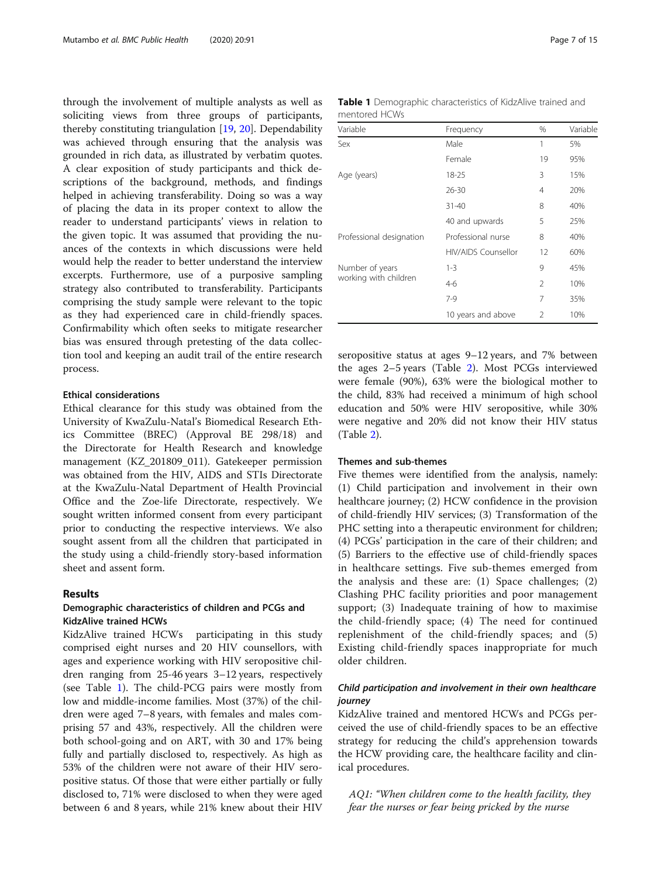through the involvement of multiple analysts as well as soliciting views from three groups of participants, thereby constituting triangulation [[19,](#page-13-0) [20\]](#page-13-0). Dependability was achieved through ensuring that the analysis was grounded in rich data, as illustrated by verbatim quotes. A clear exposition of study participants and thick descriptions of the background, methods, and findings helped in achieving transferability. Doing so was a way of placing the data in its proper context to allow the reader to understand participants' views in relation to the given topic. It was assumed that providing the nuances of the contexts in which discussions were held would help the reader to better understand the interview excerpts. Furthermore, use of a purposive sampling strategy also contributed to transferability. Participants comprising the study sample were relevant to the topic as they had experienced care in child-friendly spaces. Confirmability which often seeks to mitigate researcher bias was ensured through pretesting of the data collection tool and keeping an audit trail of the entire research process.

#### Ethical considerations

Ethical clearance for this study was obtained from the University of KwaZulu-Natal's Biomedical Research Ethics Committee (BREC) (Approval BE 298/18) and the Directorate for Health Research and knowledge management (KZ\_201809\_011). Gatekeeper permission was obtained from the HIV, AIDS and STIs Directorate at the KwaZulu-Natal Department of Health Provincial Office and the Zoe-life Directorate, respectively. We sought written informed consent from every participant prior to conducting the respective interviews. We also sought assent from all the children that participated in the study using a child-friendly story-based information sheet and assent form.

## Results

# Demographic characteristics of children and PCGs and KidzAlive trained HCWs

KidzAlive trained HCWs participating in this study comprised eight nurses and 20 HIV counsellors, with ages and experience working with HIV seropositive children ranging from 25-46 years 3–12 years, respectively (see Table 1). The child-PCG pairs were mostly from low and middle-income families. Most (37%) of the children were aged 7–8 years, with females and males comprising 57 and 43%, respectively. All the children were both school-going and on ART, with 30 and 17% being fully and partially disclosed to, respectively. As high as 53% of the children were not aware of their HIV seropositive status. Of those that were either partially or fully disclosed to, 71% were disclosed to when they were aged between 6 and 8 years, while 21% knew about their HIV

| Table 1 Demographic characteristics of KidzAlive trained and |  |
|--------------------------------------------------------------|--|
| mentored HCWs                                                |  |

| Variable                                 | Frequency                  | %              | Variable |
|------------------------------------------|----------------------------|----------------|----------|
| Sex                                      | Male                       | 1              | 5%       |
|                                          | Female                     | 19             | 95%      |
| Age (years)                              | 18-25                      | 3              | 15%      |
|                                          | $26 - 30$                  | $\overline{4}$ | 20%      |
|                                          | $31 - 40$                  | 8              | 40%      |
|                                          | 40 and upwards             | 5              | 25%      |
| Professional designation                 | Professional nurse         | 8              | 40%      |
|                                          | <b>HIV/AIDS Counsellor</b> | 12             | 60%      |
| Number of years<br>working with children | $1 - 3$                    | 9              | 45%      |
|                                          | $4 - 6$                    | $\mathfrak{D}$ | 10%      |
|                                          | $7-9$                      | 7              | 35%      |
|                                          | 10 years and above         | $\mathcal{P}$  | 10%      |

seropositive status at ages 9–12 years, and 7% between the ages 2–5 years (Table [2\)](#page-7-0). Most PCGs interviewed were female (90%), 63% were the biological mother to the child, 83% had received a minimum of high school education and 50% were HIV seropositive, while 30% were negative and 20% did not know their HIV status (Table [2\)](#page-7-0).

#### Themes and sub-themes

Five themes were identified from the analysis, namely: (1) Child participation and involvement in their own healthcare journey; (2) HCW confidence in the provision of child-friendly HIV services; (3) Transformation of the PHC setting into a therapeutic environment for children; (4) PCGs' participation in the care of their children; and (5) Barriers to the effective use of child-friendly spaces in healthcare settings. Five sub-themes emerged from the analysis and these are: (1) Space challenges; (2) Clashing PHC facility priorities and poor management support; (3) Inadequate training of how to maximise the child-friendly space; (4) The need for continued replenishment of the child-friendly spaces; and (5) Existing child-friendly spaces inappropriate for much older children.

# Child participation and involvement in their own healthcare journey

KidzAlive trained and mentored HCWs and PCGs perceived the use of child-friendly spaces to be an effective strategy for reducing the child's apprehension towards the HCW providing care, the healthcare facility and clinical procedures.

AQ1: "When children come to the health facility, they fear the nurses or fear being pricked by the nurse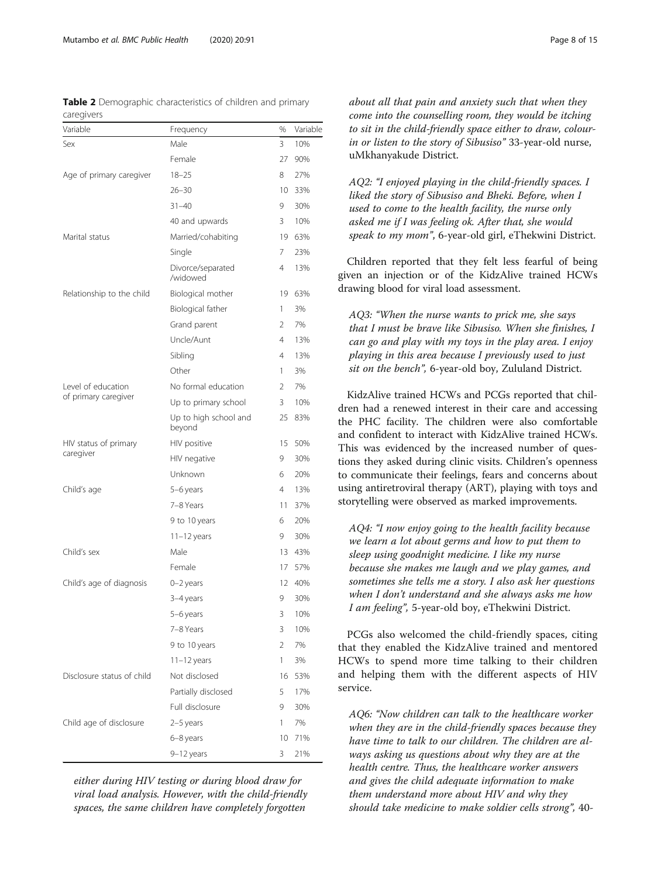<span id="page-7-0"></span>

| Table 2 Demographic characteristics of children and primary |  |  |
|-------------------------------------------------------------|--|--|
| caregivers                                                  |  |  |

| Variable                   | Frequency                       | %              | Variable |
|----------------------------|---------------------------------|----------------|----------|
| Sex                        | Male                            | 3              | 10%      |
|                            | Female                          | 27             | 90%      |
| Age of primary caregiver   | $18 - 25$                       | 8              | 27%      |
|                            | $26 - 30$                       | 10             | 33%      |
|                            | $31 - 40$                       | 9              | 30%      |
|                            | 40 and upwards                  | 3              | 10%      |
| Marital status             | Married/cohabiting              | 19             | 63%      |
|                            | Single                          | 7              | 23%      |
|                            | Divorce/separated<br>/widowed   | 4              | 13%      |
| Relationship to the child  | Biological mother               | 19             | 63%      |
|                            | Biological father               | 1              | 3%       |
|                            | Grand parent                    | 2              | 7%       |
|                            | Uncle/Aunt                      | 4              | 13%      |
|                            | Sibling                         | 4              | 13%      |
|                            | Other                           | 1              | 3%       |
| Level of education         | No formal education             | 2              | 7%       |
| of primary caregiver       | Up to primary school            | 3              | 10%      |
|                            | Up to high school and<br>beyond | 25             | 83%      |
| HIV status of primary      | HIV positive                    | 15             | 50%      |
| caregiver                  | HIV negative                    | 9              | 30%      |
|                            | Unknown                         | 6              | 20%      |
| Child's age                | 5-6 years                       | 4              | 13%      |
|                            | 7-8 Years                       | 11             | 37%      |
|                            | 9 to 10 years                   | 6              | 20%      |
|                            | $11-12$ years                   | 9              | 30%      |
| Child's sex                | Male                            | 13             | 43%      |
|                            | Female                          | 17             | 57%      |
| Child's age of diagnosis   | 0–2 years                       | 12             | 40%      |
|                            | 3-4 years                       | 9              | 30%      |
|                            | 5-6 years                       | 3              | 10%      |
|                            | 7-8 Years                       | 3              | 10%      |
|                            | 9 to 10 years                   | $\overline{2}$ | 7%       |
|                            | $11-12$ years                   | 1              | 3%       |
| Disclosure status of child | Not disclosed                   | 16             | 53%      |
|                            | Partially disclosed             | 5              | 17%      |
|                            | Full disclosure                 | 9              | 30%      |
| Child age of disclosure    | 2-5 years                       | 1              | 7%       |
|                            | 6-8 years                       | 10             | 71%      |
|                            | 9-12 years                      | 3              | 21%      |

either during HIV testing or during blood draw for viral load analysis. However, with the child-friendly spaces, the same children have completely forgotten

about all that pain and anxiety such that when they come into the counselling room, they would be itching to sit in the child-friendly space either to draw, colourin or listen to the story of Sibusiso" 33-year-old nurse, uMkhanyakude District.

AQ2: "I enjoyed playing in the child-friendly spaces. I liked the story of Sibusiso and Bheki. Before, when I used to come to the health facility, the nurse only asked me if I was feeling ok. After that, she would speak to my mom", 6-year-old girl, eThekwini District.

Children reported that they felt less fearful of being given an injection or of the KidzAlive trained HCWs drawing blood for viral load assessment.

AQ3: "When the nurse wants to prick me, she says that I must be brave like Sibusiso. When she finishes, I can go and play with my toys in the play area. I enjoy playing in this area because I previously used to just sit on the bench", 6-year-old boy, Zululand District.

KidzAlive trained HCWs and PCGs reported that children had a renewed interest in their care and accessing the PHC facility. The children were also comfortable and confident to interact with KidzAlive trained HCWs. This was evidenced by the increased number of questions they asked during clinic visits. Children's openness to communicate their feelings, fears and concerns about using antiretroviral therapy (ART), playing with toys and storytelling were observed as marked improvements.

AQ4: "I now enjoy going to the health facility because we learn a lot about germs and how to put them to sleep using goodnight medicine. I like my nurse because she makes me laugh and we play games, and sometimes she tells me a story. I also ask her questions when I don't understand and she always asks me how I am feeling", 5-year-old boy, eThekwini District.

PCGs also welcomed the child-friendly spaces, citing that they enabled the KidzAlive trained and mentored HCWs to spend more time talking to their children and helping them with the different aspects of HIV service.

AQ6: "Now children can talk to the healthcare worker when they are in the child-friendly spaces because they have time to talk to our children. The children are always asking us questions about why they are at the health centre. Thus, the healthcare worker answers and gives the child adequate information to make them understand more about HIV and why they should take medicine to make soldier cells strong", 40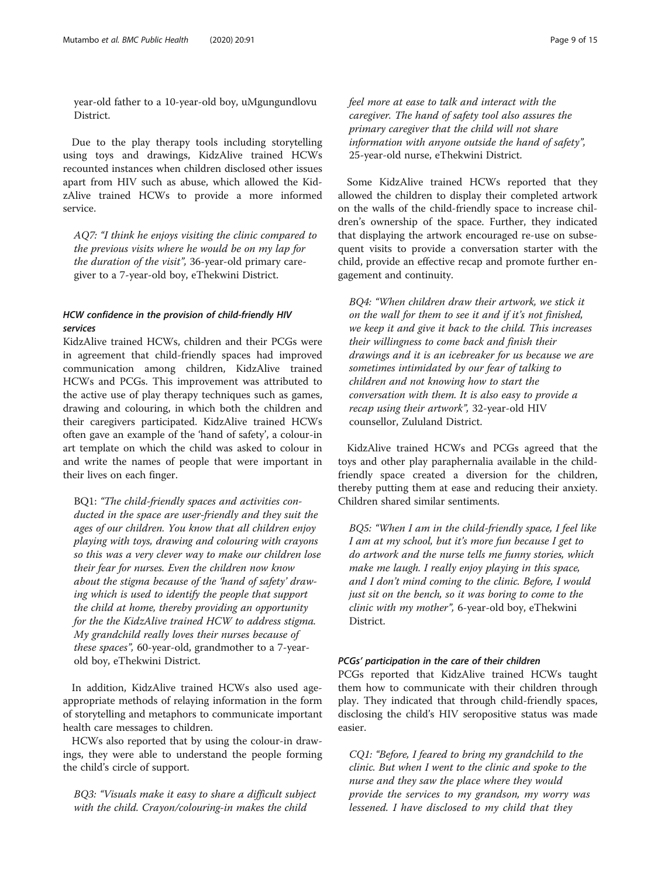year-old father to a 10-year-old boy, uMgungundlovu District.

Due to the play therapy tools including storytelling using toys and drawings, KidzAlive trained HCWs recounted instances when children disclosed other issues apart from HIV such as abuse, which allowed the KidzAlive trained HCWs to provide a more informed service.

AQ7: "I think he enjoys visiting the clinic compared to the previous visits where he would be on my lap for the duration of the visit", 36-year-old primary caregiver to a 7-year-old boy, eThekwini District.

# HCW confidence in the provision of child-friendly HIV services

KidzAlive trained HCWs, children and their PCGs were in agreement that child-friendly spaces had improved communication among children, KidzAlive trained HCWs and PCGs. This improvement was attributed to the active use of play therapy techniques such as games, drawing and colouring, in which both the children and their caregivers participated. KidzAlive trained HCWs often gave an example of the 'hand of safety', a colour-in art template on which the child was asked to colour in and write the names of people that were important in their lives on each finger.

BQ1: "The child-friendly spaces and activities conducted in the space are user-friendly and they suit the ages of our children. You know that all children enjoy playing with toys, drawing and colouring with crayons so this was a very clever way to make our children lose their fear for nurses. Even the children now know about the stigma because of the 'hand of safety' drawing which is used to identify the people that support the child at home, thereby providing an opportunity for the the KidzAlive trained HCW to address stigma. My grandchild really loves their nurses because of these spaces", 60-year-old, grandmother to a 7-yearold boy, eThekwini District.

In addition, KidzAlive trained HCWs also used ageappropriate methods of relaying information in the form of storytelling and metaphors to communicate important health care messages to children.

HCWs also reported that by using the colour-in drawings, they were able to understand the people forming the child's circle of support.

BQ3: "Visuals make it easy to share a difficult subject with the child. Crayon/colouring-in makes the child

feel more at ease to talk and interact with the caregiver. The hand of safety tool also assures the primary caregiver that the child will not share information with anyone outside the hand of safety", 25-year-old nurse, eThekwini District.

Some KidzAlive trained HCWs reported that they allowed the children to display their completed artwork on the walls of the child-friendly space to increase children's ownership of the space. Further, they indicated that displaying the artwork encouraged re-use on subsequent visits to provide a conversation starter with the child, provide an effective recap and promote further engagement and continuity.

BQ4: "When children draw their artwork, we stick it on the wall for them to see it and if it's not finished, we keep it and give it back to the child. This increases their willingness to come back and finish their drawings and it is an icebreaker for us because we are sometimes intimidated by our fear of talking to children and not knowing how to start the conversation with them. It is also easy to provide a recap using their artwork", 32-year-old HIV counsellor, Zululand District.

KidzAlive trained HCWs and PCGs agreed that the toys and other play paraphernalia available in the childfriendly space created a diversion for the children, thereby putting them at ease and reducing their anxiety. Children shared similar sentiments.

BQ5: "When I am in the child-friendly space, I feel like I am at my school, but it's more fun because I get to do artwork and the nurse tells me funny stories, which make me laugh. I really enjoy playing in this space, and I don't mind coming to the clinic. Before, I would just sit on the bench, so it was boring to come to the clinic with my mother", 6-year-old boy, eThekwini District.

#### PCGs' participation in the care of their children

PCGs reported that KidzAlive trained HCWs taught them how to communicate with their children through play. They indicated that through child-friendly spaces, disclosing the child's HIV seropositive status was made easier.

CQ1: "Before, I feared to bring my grandchild to the clinic. But when I went to the clinic and spoke to the nurse and they saw the place where they would provide the services to my grandson, my worry was lessened. I have disclosed to my child that they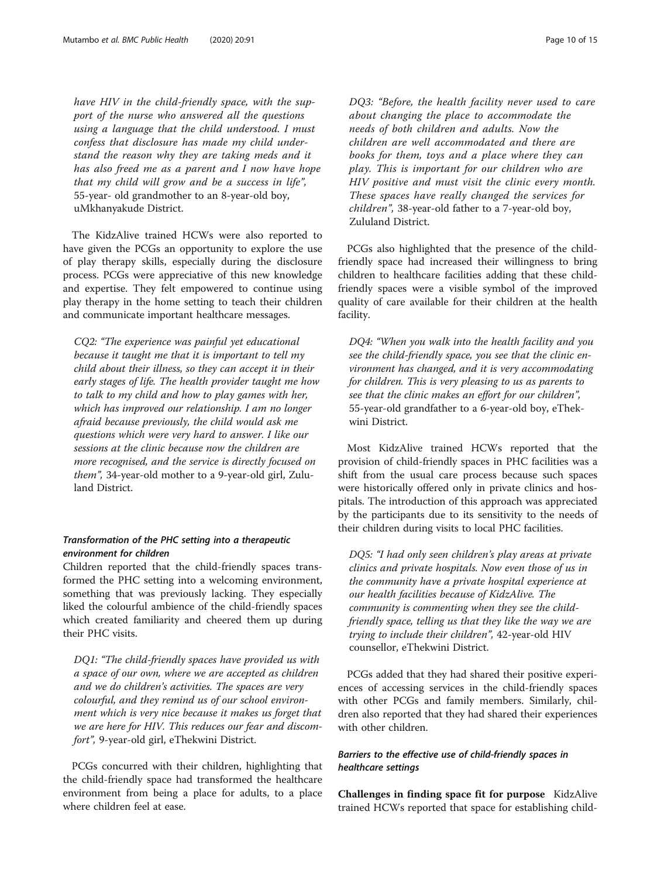have HIV in the child-friendly space, with the support of the nurse who answered all the questions using a language that the child understood. I must confess that disclosure has made my child understand the reason why they are taking meds and it has also freed me as a parent and I now have hope that my child will grow and be a success in life", 55-year- old grandmother to an 8-year-old boy, uMkhanyakude District.

The KidzAlive trained HCWs were also reported to have given the PCGs an opportunity to explore the use of play therapy skills, especially during the disclosure process. PCGs were appreciative of this new knowledge and expertise. They felt empowered to continue using play therapy in the home setting to teach their children and communicate important healthcare messages.

CQ2: "The experience was painful yet educational because it taught me that it is important to tell my child about their illness, so they can accept it in their early stages of life. The health provider taught me how to talk to my child and how to play games with her, which has improved our relationship. I am no longer afraid because previously, the child would ask me questions which were very hard to answer. I like our sessions at the clinic because now the children are more recognised, and the service is directly focused on them", 34-year-old mother to a 9-year-old girl, Zululand District.

# Transformation of the PHC setting into a therapeutic environment for children

Children reported that the child-friendly spaces transformed the PHC setting into a welcoming environment, something that was previously lacking. They especially liked the colourful ambience of the child-friendly spaces which created familiarity and cheered them up during their PHC visits.

DQ1: "The child-friendly spaces have provided us with a space of our own, where we are accepted as children and we do children's activities. The spaces are very colourful, and they remind us of our school environment which is very nice because it makes us forget that we are here for HIV. This reduces our fear and discomfort", 9-year-old girl, eThekwini District.

PCGs concurred with their children, highlighting that the child-friendly space had transformed the healthcare environment from being a place for adults, to a place where children feel at ease.

DQ3: "Before, the health facility never used to care about changing the place to accommodate the needs of both children and adults. Now the children are well accommodated and there are books for them, toys and a place where they can play. This is important for our children who are HIV positive and must visit the clinic every month. These spaces have really changed the services for children", 38-year-old father to a 7-year-old boy, Zululand District.

PCGs also highlighted that the presence of the childfriendly space had increased their willingness to bring children to healthcare facilities adding that these childfriendly spaces were a visible symbol of the improved quality of care available for their children at the health facility.

DQ4: "When you walk into the health facility and you see the child-friendly space, you see that the clinic environment has changed, and it is very accommodating for children. This is very pleasing to us as parents to see that the clinic makes an effort for our children", 55-year-old grandfather to a 6-year-old boy, eThekwini District.

Most KidzAlive trained HCWs reported that the provision of child-friendly spaces in PHC facilities was a shift from the usual care process because such spaces were historically offered only in private clinics and hospitals. The introduction of this approach was appreciated by the participants due to its sensitivity to the needs of their children during visits to local PHC facilities.

DQ5: "I had only seen children's play areas at private clinics and private hospitals. Now even those of us in the community have a private hospital experience at our health facilities because of KidzAlive. The community is commenting when they see the childfriendly space, telling us that they like the way we are trying to include their children", 42-year-old HIV counsellor, eThekwini District.

PCGs added that they had shared their positive experiences of accessing services in the child-friendly spaces with other PCGs and family members. Similarly, children also reported that they had shared their experiences with other children.

# Barriers to the effective use of child-friendly spaces in healthcare settings

Challenges in finding space fit for purpose KidzAlive trained HCWs reported that space for establishing child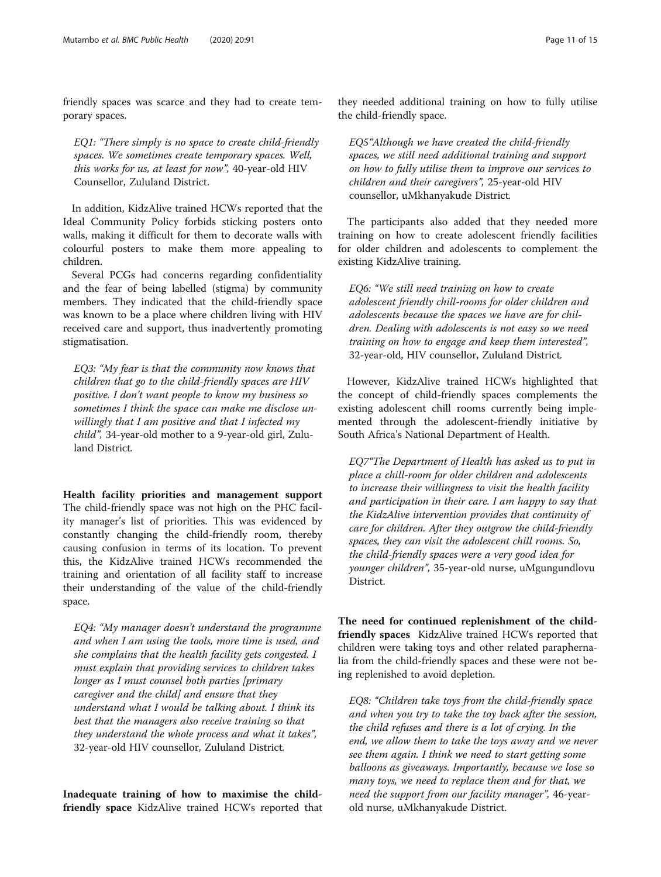friendly spaces was scarce and they had to create temporary spaces.

EQ1: "There simply is no space to create child-friendly spaces. We sometimes create temporary spaces. Well, this works for us, at least for now", 40-year-old HIV Counsellor, Zululand District.

In addition, KidzAlive trained HCWs reported that the Ideal Community Policy forbids sticking posters onto walls, making it difficult for them to decorate walls with colourful posters to make them more appealing to children.

Several PCGs had concerns regarding confidentiality and the fear of being labelled (stigma) by community members. They indicated that the child-friendly space was known to be a place where children living with HIV received care and support, thus inadvertently promoting stigmatisation.

EQ3: "My fear is that the community now knows that children that go to the child-friendly spaces are HIV positive. I don't want people to know my business so sometimes I think the space can make me disclose unwillingly that I am positive and that I infected my child", 34-year-old mother to a 9-year-old girl, Zululand District.

Health facility priorities and management support The child-friendly space was not high on the PHC facility manager's list of priorities. This was evidenced by constantly changing the child-friendly room, thereby causing confusion in terms of its location. To prevent this, the KidzAlive trained HCWs recommended the training and orientation of all facility staff to increase their understanding of the value of the child-friendly space.

EQ4: "My manager doesn't understand the programme and when I am using the tools, more time is used, and she complains that the health facility gets congested. I must explain that providing services to children takes longer as I must counsel both parties [primary caregiver and the child] and ensure that they understand what I would be talking about. I think its best that the managers also receive training so that they understand the whole process and what it takes", 32-year-old HIV counsellor, Zululand District.

Inadequate training of how to maximise the childfriendly space KidzAlive trained HCWs reported that they needed additional training on how to fully utilise the child-friendly space.

EQ5"Although we have created the child-friendly spaces, we still need additional training and support on how to fully utilise them to improve our services to children and their caregivers", 25-year-old HIV counsellor, uMkhanyakude District.

The participants also added that they needed more training on how to create adolescent friendly facilities for older children and adolescents to complement the existing KidzAlive training.

EQ6: "We still need training on how to create adolescent friendly chill-rooms for older children and adolescents because the spaces we have are for children. Dealing with adolescents is not easy so we need training on how to engage and keep them interested", 32-year-old, HIV counsellor, Zululand District.

However, KidzAlive trained HCWs highlighted that the concept of child-friendly spaces complements the existing adolescent chill rooms currently being implemented through the adolescent-friendly initiative by South Africa's National Department of Health.

EQ7"The Department of Health has asked us to put in place a chill-room for older children and adolescents to increase their willingness to visit the health facility and participation in their care. I am happy to say that the KidzAlive intervention provides that continuity of care for children. After they outgrow the child-friendly spaces, they can visit the adolescent chill rooms. So, the child-friendly spaces were a very good idea for younger children", 35-year-old nurse, uMgungundlovu District.

The need for continued replenishment of the childfriendly spaces KidzAlive trained HCWs reported that children were taking toys and other related paraphernalia from the child-friendly spaces and these were not being replenished to avoid depletion.

EQ8: "Children take toys from the child-friendly space and when you try to take the toy back after the session, the child refuses and there is a lot of crying. In the end, we allow them to take the toys away and we never see them again. I think we need to start getting some balloons as giveaways. Importantly, because we lose so many toys, we need to replace them and for that, we need the support from our facility manager", 46-yearold nurse, uMkhanyakude District.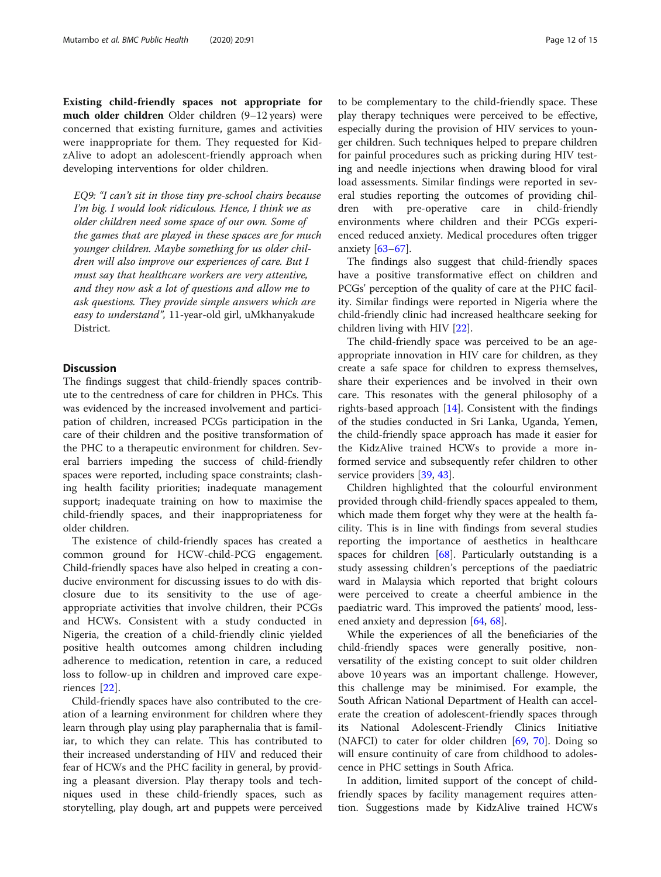Existing child-friendly spaces not appropriate for much older children Older children (9–12 years) were concerned that existing furniture, games and activities were inappropriate for them. They requested for KidzAlive to adopt an adolescent-friendly approach when developing interventions for older children.

EQ9: "I can't sit in those tiny pre-school chairs because I'm big. I would look ridiculous. Hence, I think we as older children need some space of our own. Some of the games that are played in these spaces are for much younger children. Maybe something for us older children will also improve our experiences of care. But I must say that healthcare workers are very attentive, and they now ask a lot of questions and allow me to ask questions. They provide simple answers which are easy to understand", 11-year-old girl, uMkhanyakude District.

# **Discussion**

The findings suggest that child-friendly spaces contribute to the centredness of care for children in PHCs. This was evidenced by the increased involvement and participation of children, increased PCGs participation in the care of their children and the positive transformation of the PHC to a therapeutic environment for children. Several barriers impeding the success of child-friendly spaces were reported, including space constraints; clashing health facility priorities; inadequate management support; inadequate training on how to maximise the child-friendly spaces, and their inappropriateness for older children.

The existence of child-friendly spaces has created a common ground for HCW-child-PCG engagement. Child-friendly spaces have also helped in creating a conducive environment for discussing issues to do with disclosure due to its sensitivity to the use of ageappropriate activities that involve children, their PCGs and HCWs. Consistent with a study conducted in Nigeria, the creation of a child-friendly clinic yielded positive health outcomes among children including adherence to medication, retention in care, a reduced loss to follow-up in children and improved care experiences [\[22](#page-13-0)].

Child-friendly spaces have also contributed to the creation of a learning environment for children where they learn through play using play paraphernalia that is familiar, to which they can relate. This has contributed to their increased understanding of HIV and reduced their fear of HCWs and the PHC facility in general, by providing a pleasant diversion. Play therapy tools and techniques used in these child-friendly spaces, such as storytelling, play dough, art and puppets were perceived

to be complementary to the child-friendly space. These play therapy techniques were perceived to be effective, especially during the provision of HIV services to younger children. Such techniques helped to prepare children for painful procedures such as pricking during HIV testing and needle injections when drawing blood for viral load assessments. Similar findings were reported in several studies reporting the outcomes of providing children with pre-operative care in child-friendly environments where children and their PCGs experienced reduced anxiety. Medical procedures often trigger anxiety [[63](#page-14-0)–[67\]](#page-14-0).

The findings also suggest that child-friendly spaces have a positive transformative effect on children and PCGs' perception of the quality of care at the PHC facility. Similar findings were reported in Nigeria where the child-friendly clinic had increased healthcare seeking for children living with HIV [[22\]](#page-13-0).

The child-friendly space was perceived to be an ageappropriate innovation in HIV care for children, as they create a safe space for children to express themselves, share their experiences and be involved in their own care. This resonates with the general philosophy of a rights-based approach  $[14]$  $[14]$ . Consistent with the findings of the studies conducted in Sri Lanka, Uganda, Yemen, the child-friendly space approach has made it easier for the KidzAlive trained HCWs to provide a more informed service and subsequently refer children to other service providers [[39](#page-13-0), [43](#page-13-0)].

Children highlighted that the colourful environment provided through child-friendly spaces appealed to them, which made them forget why they were at the health facility. This is in line with findings from several studies reporting the importance of aesthetics in healthcare spaces for children  $[68]$  $[68]$  $[68]$ . Particularly outstanding is a study assessing children's perceptions of the paediatric ward in Malaysia which reported that bright colours were perceived to create a cheerful ambience in the paediatric ward. This improved the patients' mood, lessened anxiety and depression [[64,](#page-14-0) [68\]](#page-14-0).

While the experiences of all the beneficiaries of the child-friendly spaces were generally positive, nonversatility of the existing concept to suit older children above 10 years was an important challenge. However, this challenge may be minimised. For example, the South African National Department of Health can accelerate the creation of adolescent-friendly spaces through its National Adolescent-Friendly Clinics Initiative (NAFCI) to cater for older children [\[69](#page-14-0), [70\]](#page-14-0). Doing so will ensure continuity of care from childhood to adolescence in PHC settings in South Africa.

In addition, limited support of the concept of childfriendly spaces by facility management requires attention. Suggestions made by KidzAlive trained HCWs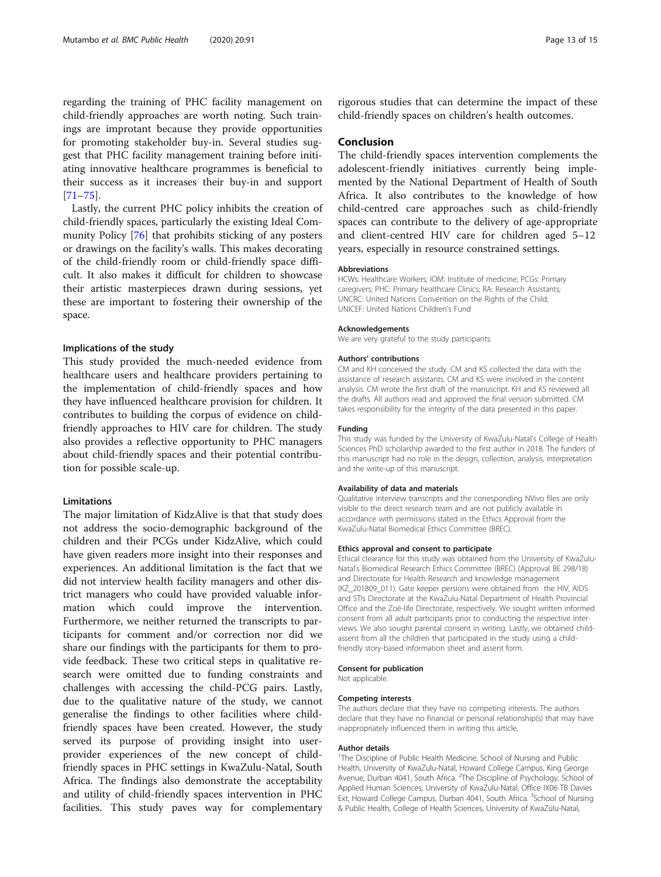regarding the training of PHC facility management on child-friendly approaches are worth noting. Such trainings are improtant because they provide opportunities for promoting stakeholder buy-in. Several studies suggest that PHC facility management training before initiating innovative healthcare programmes is beneficial to their success as it increases their buy-in and support [[71](#page-14-0)–[75](#page-14-0)].

Lastly, the current PHC policy inhibits the creation of child-friendly spaces, particularly the existing Ideal Community Policy [[76](#page-14-0)] that prohibits sticking of any posters or drawings on the facility's walls. This makes decorating of the child-friendly room or child-friendly space difficult. It also makes it difficult for children to showcase their artistic masterpieces drawn during sessions, yet these are important to fostering their ownership of the space.

#### Implications of the study

This study provided the much-needed evidence from healthcare users and healthcare providers pertaining to the implementation of child-friendly spaces and how they have influenced healthcare provision for children. It contributes to building the corpus of evidence on childfriendly approaches to HIV care for children. The study also provides a reflective opportunity to PHC managers about child-friendly spaces and their potential contribution for possible scale-up.

# Limitations

The major limitation of KidzAlive is that that study does not address the socio-demographic background of the children and their PCGs under KidzAlive, which could have given readers more insight into their responses and experiences. An additional limitation is the fact that we did not interview health facility managers and other district managers who could have provided valuable information which could improve the intervention. Furthermore, we neither returned the transcripts to participants for comment and/or correction nor did we share our findings with the participants for them to provide feedback. These two critical steps in qualitative research were omitted due to funding constraints and challenges with accessing the child-PCG pairs. Lastly, due to the qualitative nature of the study, we cannot generalise the findings to other facilities where childfriendly spaces have been created. However, the study served its purpose of providing insight into userprovider experiences of the new concept of childfriendly spaces in PHC settings in KwaZulu-Natal, South Africa. The findings also demonstrate the acceptability and utility of child-friendly spaces intervention in PHC facilities. This study paves way for complementary

rigorous studies that can determine the impact of these child-friendly spaces on children's health outcomes.

#### Conclusion

The child-friendly spaces intervention complements the adolescent-friendly initiatives currently being implemented by the National Department of Health of South Africa. It also contributes to the knowledge of how child-centred care approaches such as child-friendly spaces can contribute to the delivery of age-appropriate and client-centred HIV care for children aged 5–12 years, especially in resource constrained settings.

#### Abbreviations

HCWs: Healthcare Workers; IOM: Institute of medicine; PCGs: Primary caregivers; PHC: Primary healthcare Clinics; RA: Research Assistants; UNCRC: United Nations Convention on the Rights of the Child; UNICEF: United Nations Children's Fund

# Acknowledgements

We are very grateful to the study participants.

#### Authors' contributions

CM and KH conceived the study. CM and KS collected the data with the assistance of research assistants. CM and KS were involved in the content analysis. CM wrote the first draft of the manuscript. KH and KS reviewed all the drafts. All authors read and approved the final version submitted. CM takes responsibility for the integrity of the data presented in this paper.

#### Funding

This study was funded by the University of KwaZulu-Natal's College of Health Sciences PhD scholarship awarded to the first author in 2018. The funders of this manuscript had no role in the design, collection, analysis, interpretation and the write-up of this manuscript.

#### Availability of data and materials

Qualitative interview transcripts and the corresponding NVivo files are only visible to the direct research team and are not publicly available in accordance with permissions stated in the Ethics Approval from the KwaZulu-Natal Biomedical Ethics Committee (BREC).

#### Ethics approval and consent to participate

Ethical clearance for this study was obtained from the University of KwaZulu-Natal's Biomedical Research Ethics Committee (BREC) (Approval BE 298/18) and Directorate for Health Research and knowledge management (KZ\_201809\_011). Gate keeper persions were obtained from the HIV, AIDS and STIs Directorate at the KwaZulu-Natal Department of Health Provincial Office and the Zoë-life Directorate, respectively. We sought written informed consent from all adult participants prior to conducting the respective interviews. We also sought parental consent in writing. Lastly, we obtained childassent from all the children that participated in the study using a childfriendly story-based information sheet and assent form.

#### Consent for publication

Not applicable.

#### Competing interests

The authors declare that they have no competing interests. The authors declare that they have no financial or personal relationship(s) that may have inappropriately influenced them in writing this article.

#### Author details

<sup>1</sup>The Discipline of Public Health Medicine, School of Nursing and Public Health, University of KwaZulu-Natal, Howard College Campus, King George Avenue, Durban 4041, South Africa. <sup>2</sup>The Discipline of Psychology, School of Applied Human Sciences, University of KwaZulu-Natal, Office IX06 TB Davies Ext, Howard College Campus, Durban 4041, South Africa. <sup>3</sup>School of Nursing & Public Health, College of Health Sciences, University of KwaZulu-Natal,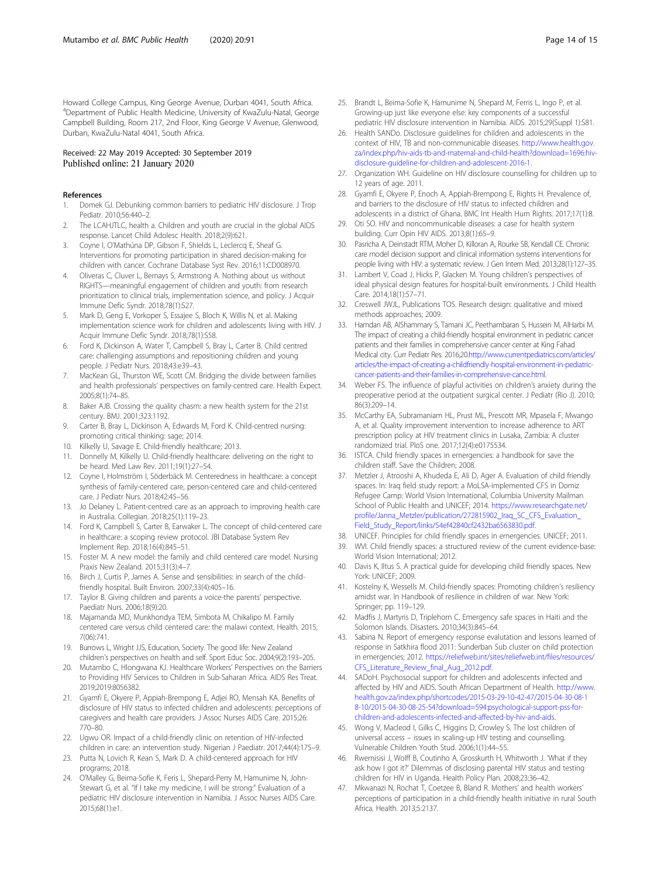### <span id="page-13-0"></span>Received: 22 May 2019 Accepted: 30 September 2019 Published online: 21 January 2020

#### References

- 1. Domek GJ. Debunking common barriers to pediatric HIV disclosure. J Trop Pediatr. 2010;56:440–2.
- The LCAHJTLC, health a. Children and youth are crucial in the global AIDS response. Lancet Child Adolesc Health. 2018;2(9):621.
- 3. Coyne I, O'Mathúna DP, Gibson F, Shields L, Leclercq E, Sheaf G. Interventions for promoting participation in shared decision-making for children with cancer. Cochrane Database Syst Rev. 2016;11:CD008970.
- 4. Oliveras C, Cluver L, Bernays S, Armstrong A. Nothing about us without RIGHTS—meaningful engagement of children and youth: from research prioritization to clinical trials, implementation science, and policy. J Acquir Immune Defic Syndr. 2018;78(1):S27.
- Mark D, Geng E, Vorkoper S, Essajee S, Bloch K, Willis N, et al. Making implementation science work for children and adolescents living with HIV. J Acquir Immune Defic Syndr. 2018;78(1):S58.
- 6. Ford K, Dickinson A, Water T, Campbell S, Bray L, Carter B. Child centred care: challenging assumptions and repositioning children and young people. J Pediatr Nurs. 2018;43:e39–43.
- 7. MacKean GL, Thurston WE, Scott CM. Bridging the divide between families and health professionals' perspectives on family-centred care. Health Expect. 2005;8(1):74–85.
- Baker AJB. Crossing the quality chasm: a new health system for the 21st century. BMJ. 2001;323:1192.
- 9. Carter B, Bray L, Dickinson A, Edwards M, Ford K. Child-centred nursing: promoting critical thinking: sage; 2014.
- 10. Kilkelly U, Savage E. Child-friendly healthcare; 2013.
- 11. Donnelly M, Kilkelly U. Child-friendly healthcare: delivering on the right to be heard. Med Law Rev. 2011;19(1):27–54.
- 12. Coyne I, Holmström I, Söderbäck M. Centeredness in healthcare: a concept synthesis of family-centered care, person-centered care and child-centered care. J Pediatr Nurs. 2018;42:45–56.
- 13. Jo Delaney L. Patient-centred care as an approach to improving health care in Australia. Collegian. 2018;25(1):119–23.
- 14. Ford K, Campbell S, Carter B, Earwaker L. The concept of child-centered care in healthcare: a scoping review protocol. JBI Database System Rev Implement Rep. 2018;16(4):845–51.
- 15. Foster M. A new model: the family and child centered care model. Nursing Praxis New Zealand. 2015;31(3):4–7.
- 16. Birch J, Curtis P, James A. Sense and sensibilities: in search of the childfriendly hospital. Built Environ. 2007;33(4):405–16.
- 17. Taylor B. Giving children and parents a voice-the parents' perspective. Paediatr Nurs. 2006;18(9):20.
- 18. Majamanda MD, Munkhondya TEM, Simbota M, Chikalipo M. Family centered care versus child centered care: the malawi context. Health. 2015; 7(06):741.
- 19. Burrows L, Wright JJS, Education, Society. The good life: New Zealand children's perspectives on health and self. Sport Educ Soc. 2004;9(2):193–205.
- 20. Mutambo C, Hlongwana KJ. Healthcare Workers' Perspectives on the Barriers to Providing HIV Services to Children in Sub-Saharan Africa. AIDS Res Treat. 2019;2019:8056382.
- 21. Gyamfi E, Okyere P, Appiah-Brempong E, Adjei RO, Mensah KA. Benefits of disclosure of HIV status to infected children and adolescents: perceptions of caregivers and health care providers. J Assoc Nurses AIDS Care. 2015;26: 770–80.
- 22. Ugwu OR. Impact of a child-friendly clinic on retention of HIV-infected children in care: an intervention study. Nigerian J Paediatr. 2017;44(4):175–9.
- 23. Putta N, Lovich R, Kean S, Mark D. A child-centered approach for HIV programs; 2018.
- 24. O'Malley G, Beima-Sofie K, Feris L, Shepard-Perry M, Hamunime N, John-Stewart G, et al. "If I take my medicine, I will be strong:" Evaluation of a pediatric HIV disclosure intervention in Namibia. J Assoc Nurses AIDS Care. 2015;68(1):e1.
- 25. Brandt L, Beima-Sofie K, Hamunime N, Shepard M, Ferris L, Ingo P, et al. Growing-up just like everyone else: key components of a successful pediatric HIV disclosure intervention in Namibia. AIDS. 2015;29(Suppl 1):S81.
- 26. Health SANDo. Disclosure guidelines for children and adolescents in the context of HIV, TB and non-communicable diseases. [http://www.health.gov.](http://www.health.gov.za/index.php/hiv-aids-tb-and-maternal-and-child-health?download=1696:hiv-disclosure-guideline-for-children-and-adolescent-2016-1) [za/index.php/hiv-aids-tb-and-maternal-and-child-health?download=1696:hiv](http://www.health.gov.za/index.php/hiv-aids-tb-and-maternal-and-child-health?download=1696:hiv-disclosure-guideline-for-children-and-adolescent-2016-1)[disclosure-guideline-for-children-and-adolescent-2016-1](http://www.health.gov.za/index.php/hiv-aids-tb-and-maternal-and-child-health?download=1696:hiv-disclosure-guideline-for-children-and-adolescent-2016-1).
- 27. Organization WH. Guideline on HIV disclosure counselling for children up to 12 years of age. 2011.
- 28. Gyamfi E, Okyere P, Enoch A, Appiah-Brempong E, Rights H. Prevalence of, and barriers to the disclosure of HIV status to infected children and adolescents in a district of Ghana. BMC Int Health Hum Rights. 2017;17(1):8.
- 29. Oti SO. HIV and noncommunicable diseases: a case for health system building. Curr Opin HIV AIDS. 2013;8(1):65–9.
- 30. Pasricha A, Deinstadt RTM, Moher D, Killoran A, Rourke SB, Kendall CE. Chronic care model decision support and clinical information systems interventions for people living with HIV: a systematic review. J Gen Intern Med. 2013;28(1):127–35.
- 31. Lambert V, Coad J, Hicks P, Glacken M. Young children's perspectives of ideal physical design features for hospital-built environments. J Child Health Care. 2014;18(1):57–71.
- 32. Creswell JWJL, Publications TOS. Research design: qualitative and mixed methods approaches; 2009.
- 33. Hamdan AB, AlShammary S, Tamani JC, Peethambaran S, Hussein M, AlHarbi M. The impact of creating a child-friendly hospital environment in pediatric cancer patients and their families in comprehensive cancer center at King Fahad Medical city. Curr Pediatr Res. 2016;20[.http://www.currentpediatrics.com/articles/](http://www.currentpediatrics.com/articles/articles/the-impact-of-creating-a-childfriendly-hospital-environment-in-pediatric-cancer-patients-and-their-families-in-comprehensive-cance.html) [articles/the-impact-of-creating-a-childfriendly-hospital-environment-in-pediatric](http://www.currentpediatrics.com/articles/articles/the-impact-of-creating-a-childfriendly-hospital-environment-in-pediatric-cancer-patients-and-their-families-in-comprehensive-cance.html)[cancer-patients-and-their-families-in-comprehensive-cance.html](http://www.currentpediatrics.com/articles/articles/the-impact-of-creating-a-childfriendly-hospital-environment-in-pediatric-cancer-patients-and-their-families-in-comprehensive-cance.html).
- Weber FS. The influence of playful activities on children's anxiety during the preoperative period at the outpatient surgical center. J Pediatr (Rio J). 2010; 86(3):209–14.
- 35. McCarthy EA, Subramaniam HL, Prust ML, Prescott MR, Mpasela F, Mwango A, et al. Quality improvement intervention to increase adherence to ART prescription policy at HIV treatment clinics in Lusaka, Zambia: A cluster randomized trial. PloS one. 2017;12(4):e0175534.
- 36. ISTCA. Child friendly spaces in emergencies: a handbook for save the children staff. Save the Children; 2008.
- 37. Metzler J, Atrooshi A, Khudeda E, Ali D, Ager A. Evaluation of child friendly spaces. In: Iraq field study report: a MoLSA-implemented CFS in Domiz Refugee Camp: World Vision International, Columbia University Mailman School of Public Health and UNICEF; 2014. [https://www.researchgate.net/](https://www.researchgate.net/profile/Janna_Metzler/publication/272815902_Iraq_SC_CFS_Evaluation_Field_Study_Report/links/54ef42840cf2432ba6563830.pdf) [profile/Janna\\_Metzler/publication/272815902\\_Iraq\\_SC\\_CFS\\_Evaluation\\_](https://www.researchgate.net/profile/Janna_Metzler/publication/272815902_Iraq_SC_CFS_Evaluation_Field_Study_Report/links/54ef42840cf2432ba6563830.pdf) [Field\\_Study\\_Report/links/54ef42840cf2432ba6563830.pdf.](https://www.researchgate.net/profile/Janna_Metzler/publication/272815902_Iraq_SC_CFS_Evaluation_Field_Study_Report/links/54ef42840cf2432ba6563830.pdf)
- 38. UNICEF. Principles for child friendly spaces in emergencies. UNICEF; 2011.
- 39. WVI. Child friendly spaces: a structured review of the current evidence-base: World Vision International; 2012.
- 40. Davis K, Iltus S. A practical guide for developing child friendly spaces. New York: UNICEF; 2009.
- 41. Kostelny K, Wessells M. Child-friendly spaces: Promoting children's resiliency amidst war. In Handbook of resilience in children of war. New York: Springer; pp. 119–129.
- 42. Madfis J, Martyris D, Triplehorn C. Emergency safe spaces in Haiti and the Solomon Islands. Disasters. 2010;34(3):845–64.
- 43. Sabina N. Report of emergency response evalutation and lessons learned of response in Satkhira flood 2011: Sunderban Sub cluster on child protection in emergencies; 2012. [https://reliefweb.int/sites/reliefweb.int/files/resources/](https://www.reliefweb.int/sites/reliefweb.int/files/resources/CFS_Literature_Review_final_Aug_2012.pdf) [CFS\\_Literature\\_Review\\_final\\_Aug\\_2012.pdf.](https://www.reliefweb.int/sites/reliefweb.int/files/resources/CFS_Literature_Review_final_Aug_2012.pdf)
- 44. SADoH. Psychosocial support for children and adolescents infected and affected by HIV and AIDS. South African Department of Health. [http://www.](http://www.health.gov.za/index.php/shortcodes/2015-03-29-10-42-47/2015-04-30-08-18-10/2015-04-30-08-25-54?download=594:psychological-support-pss-for-children-and-adolescents-infected-and-affected-by-hiv-and-aids) [health.gov.za/index.php/shortcodes/2015-03-29-10-42-47/2015-04-30-08-1](http://www.health.gov.za/index.php/shortcodes/2015-03-29-10-42-47/2015-04-30-08-18-10/2015-04-30-08-25-54?download=594:psychological-support-pss-for-children-and-adolescents-infected-and-affected-by-hiv-and-aids) [8-10/2015-04-30-08-25-54?download=594:psychological-support-pss-for](http://www.health.gov.za/index.php/shortcodes/2015-03-29-10-42-47/2015-04-30-08-18-10/2015-04-30-08-25-54?download=594:psychological-support-pss-for-children-and-adolescents-infected-and-affected-by-hiv-and-aids)[children-and-adolescents-infected-and-affected-by-hiv-and-aids.](http://www.health.gov.za/index.php/shortcodes/2015-03-29-10-42-47/2015-04-30-08-18-10/2015-04-30-08-25-54?download=594:psychological-support-pss-for-children-and-adolescents-infected-and-affected-by-hiv-and-aids)
- 45. Wong V, Macleod I, Gilks C, Higgins D, Crowley S. The lost children of universal access – issues in scaling-up HIV testing and counselling. Vulnerable Children Youth Stud. 2006;1(1):44–55.
- 46. Rwemisisi J, Wolff B, Coutinho A, Grosskurth H, Whitworth J. 'What if they ask how I got it?' Dilemmas of disclosing parental HIV status and testing children for HIV in Uganda. Health Policy Plan. 2008;23:36–42.
- 47. Mkwanazi N, Rochat T, Coetzee B, Bland R. Mothers' and health workers' perceptions of participation in a child-friendly health initiative in rural South Africa. Health. 2013;5:2137.